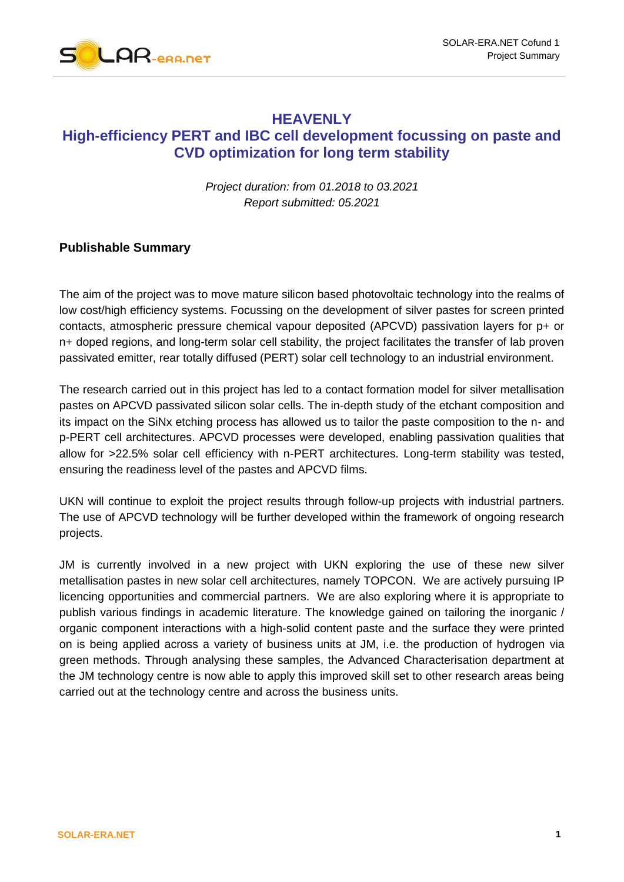

# **HEAVENLY High-efficiency PERT and IBC cell development focussing on paste and CVD optimization for long term stability**

*Project duration: from 01.2018 to 03.2021 Report submitted: 05.2021*

## **Publishable Summary**

The aim of the project was to move mature silicon based photovoltaic technology into the realms of low cost/high efficiency systems. Focussing on the development of silver pastes for screen printed contacts, atmospheric pressure chemical vapour deposited (APCVD) passivation layers for p+ or n+ doped regions, and long-term solar cell stability, the project facilitates the transfer of lab proven passivated emitter, rear totally diffused (PERT) solar cell technology to an industrial environment.

The research carried out in this project has led to a contact formation model for silver metallisation pastes on APCVD passivated silicon solar cells. The in-depth study of the etchant composition and its impact on the SiNx etching process has allowed us to tailor the paste composition to the n- and p-PERT cell architectures. APCVD processes were developed, enabling passivation qualities that allow for >22.5% solar cell efficiency with n-PERT architectures. Long-term stability was tested, ensuring the readiness level of the pastes and APCVD films.

UKN will continue to exploit the project results through follow-up projects with industrial partners. The use of APCVD technology will be further developed within the framework of ongoing research projects.

JM is currently involved in a new project with UKN exploring the use of these new silver metallisation pastes in new solar cell architectures, namely TOPCON. We are actively pursuing IP licencing opportunities and commercial partners. We are also exploring where it is appropriate to publish various findings in academic literature. The knowledge gained on tailoring the inorganic / organic component interactions with a high-solid content paste and the surface they were printed on is being applied across a variety of business units at JM, i.e. the production of hydrogen via green methods. Through analysing these samples, the Advanced Characterisation department at the JM technology centre is now able to apply this improved skill set to other research areas being carried out at the technology centre and across the business units.